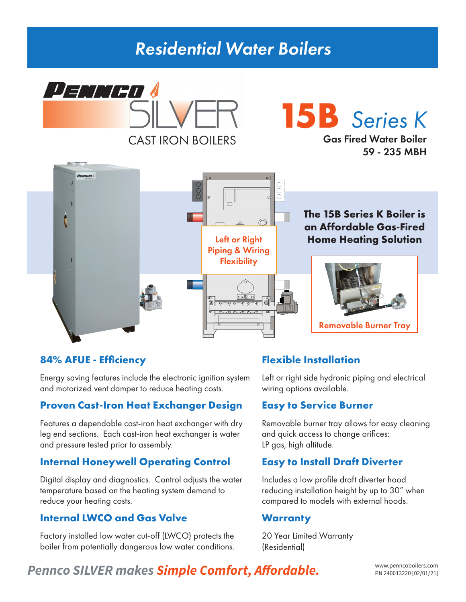## *Residential Water Boilers*



# **15B** *Series K*

Gas Fired Water Boiler 59 - 235 MBH



## **84% AFUE - Efficiency**

Energy saving features include the electronic ignition system and motorized vent damper to reduce heating costs.

#### **Proven Cast-Iron Heat Exchanger Design**

Features a dependable cast-iron heat exchanger with dry leg end sections. Each cast-iron heat exchanger is water and pressure tested prior to assembly.

## **Internal Honeywell Operating Control**

Digital display and diagnostics. Control adjusts the water temperature based on the heating system demand to reduce your heating costs.

## **Internal LWCO and Gas Valve**

Factory installed low water cut-off (LWCO) protects the boiler from potentially dangerous low water conditions.

## **Flexible Installation**

Left or right side hydronic piping and electrical wiring options available.

#### **Easy to Service Burner**

Removable burner tray allows for easy cleaning and quick access to change orifices: LP gas, high altitude.

## **Easy to Install Draft Diverter**

Includes a low profile draft diverter hood reducing installation height by up to 30" when compared to models with external hoods.

#### **Warranty**

20 Year Limited Warranty (Residential)

## Pennco SILVER makes **Simple Comfort, Affordable.** WWW.penncoboilers.com